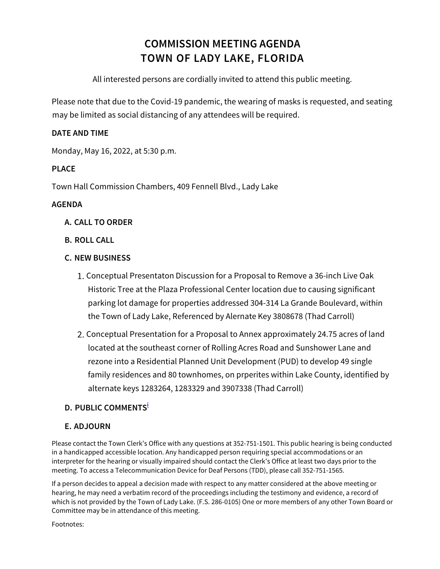# **COMMISSION MEETING AGENDA TOWN OF LADY LAKE, FLORIDA**

All interested persons are cordially invited to attend this public meeting.

Please note that due to the Covid-19 pandemic, the wearing of masks is requested, and seating may be limited as social distancing of any attendees will be required.

#### **DATE AND TIME**

Monday, May 16, 2022, at 5:30 p.m.

### **PLACE**

Town Hall Commission Chambers, 409 Fennell Blvd., Lady Lake

#### **AGENDA**

- **A. CALL TO ORDER**
- **B. ROLL CALL**

#### **C. NEW BUSINESS**

- Conceptual Presentaton Discussion for a Proposal to Remove a 36-inch Live Oak Historic Tree at the Plaza Professional Center location due to causing significant parking lot damage for properties addressed 304-314 La Grande Boulevard, within the Town of Lady Lake, Referenced by Alernate Key 3808678 (Thad Carroll)
- 2. Conceptual Presentation for a Proposal to Annex approximately 24.75 acres of land located at the southeast corner of Rolling Acres Road and Sunshower Lane and rezone into a Residential Planned Unit Development (PUD) to develop 49 single family residences and 80 townhomes, on prperites within Lake County, identified by alternate keys 1283264, 1283329 and 3907338 (Thad Carroll)

## **D. PUBLIC COMMENTSi**

#### **E. ADJOURN**

Please contact the Town Clerk's Office with any questions at 352-751-1501. This public hearing is being conducted in a handicapped accessible location. Any handicapped person requiring special accommodations or an interpreter for the hearing or visually impaired should contact the Clerk's Office at least two days prior to the meeting. To access a Telecommunication Device for Deaf Persons (TDD), please call 352-751-1565.

If a person decides to appeal a decision made with respect to any matter considered at the above meeting or hearing, he may need a verbatim record of the proceedings including the testimony and evidence, a record of which is not provided by the Town of Lady Lake. (F.S. 286-0105) One or more members of any other Town Board or Committee may be in attendance of this meeting.

Footnotes: